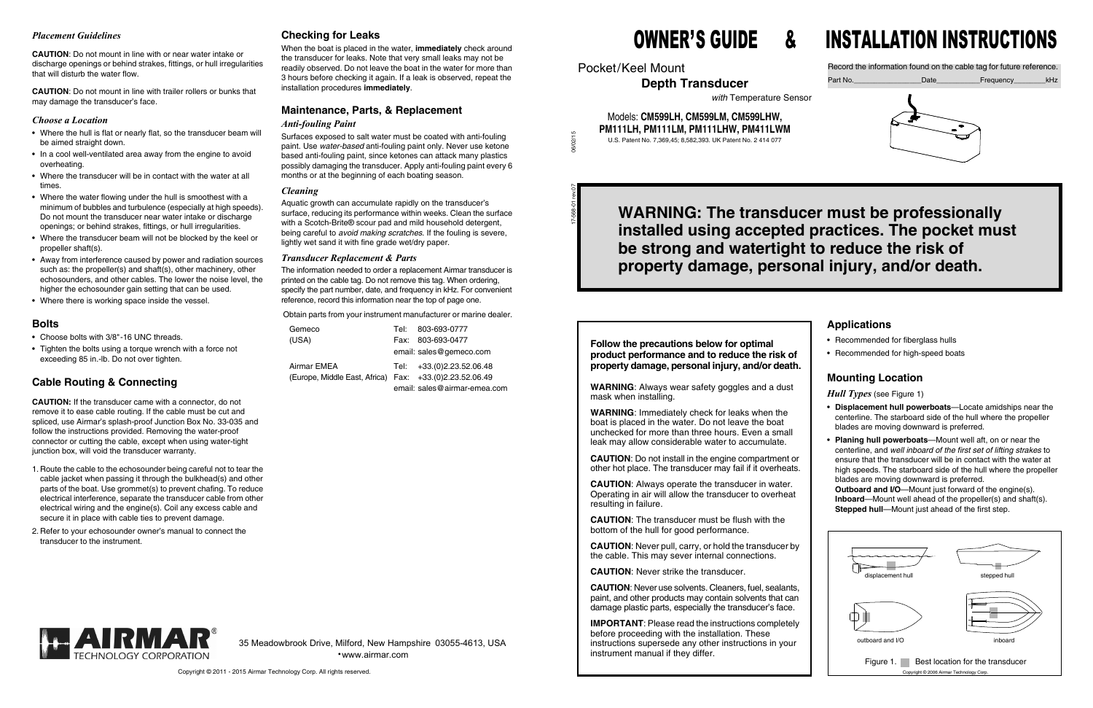#### *Placement Guidelines*

**CAUTION**: Do not mount in line with or near water intake or discharge openings or behind strakes, fittings, or hull irregularities that will disturb the water flow.

**CAUTION**: Do not mount in line with trailer rollers or bunks that may damage the transducer's face.

#### *Choose a Location*

- Where the hull is flat or nearly flat, so the transducer beam will be aimed straight down.
- In a cool well-ventilated area away from the engine to avoid overheating.
- Where the transducer will be in contact with the water at all times.
- Where the water flowing under the hull is smoothest with a minimum of bubbles and turbulence (especially at high speeds). Do not mount the transducer near water intake or discharge openings; or behind strakes, fittings, or hull irregularities.
- Where the transducer beam will not be blocked by the keel or propeller shaft(s).
- Away from interference caused by power and radiation sources such as: the propeller(s) and shaft(s), other machinery, other echosounders, and other cables. The lower the noise level, the higher the echosounder gain setting that can be used.
- Where there is working space inside the vessel.

#### **Bolts**

- Choose bolts with 3/8"-16 UNC threads.
- Tighten the bolts using a torque wrench with a force not exceeding 85 in.-lb. Do not over tighten.

### **Cable Routing & Connecting**

**CAUTION:** If the transducer came with a connector, do not remove it to ease cable routing. If the cable must be cut and spliced, use Airmar's splash-proof Junction Box No. 33-035 and follow the instructions provided. Removing the water-proof connector or cutting the cable, except when using water-tight junction box, will void the transducer warranty.

- 1. Route the cable to the echosounder being careful not to tear the cable jacket when passing it through the bulkhead(s) and other parts of the boat. Use grommet(s) to prevent chafing. To reduce electrical interference, separate the transducer cable from other electrical wiring and the engine(s). Coil any excess cable and secure it in place with cable ties to prevent damage.
- 2. Refer to your echosounder owner's manual to connect the transducer to the instrument.

#### **Checking for Leaks**

When the boat is placed in the water, **immediately** check around the transducer for leaks. Note that very small leaks may not be readily observed. Do not leave the boat in the water for more than 3 hours before checking it again. If a leak is observed, repeat the installation procedures **immediately**.

# **Maintenance, Parts, & Replacement**

### *Anti-fouling Paint*

Surfaces exposed to salt water must be coated with anti-fouling paint. Use *water-based* anti-fouling paint only. Never use ketone based anti-fouling paint, since ketones can attack many plastics possibly damaging the transducer. Apply anti-fouling paint every 6 months or at the beginning of each boating season.

#### *Cleaning*

Aquatic growth can accumulate rapidly on the transducer's surface, reducing its performance within weeks. Clean the surface with a Scotch-Brite® scour pad and mild household detergent, being careful to *avoid making scratches*. If the fouling is severe, lightly wet sand it with fine grade wet/dry paper.

#### *Transducer Replacement & Parts*

The information needed to order a replacement Airmar transducer is printed on the cable tag. Do not remove this tag. When ordering, specify the part number, date, and frequency in kHz. For convenient reference, record this information near the top of page one.

Obtain parts from your instrument manufacturer or marine dealer.

| Gemeco                                                  | Tel: 803-693-0777            |
|---------------------------------------------------------|------------------------------|
| (USA)                                                   | Fax: 803-693-0477            |
|                                                         | email: sales@gemeco.com      |
| Airmar EMEA                                             | Tel: +33.(0)2.23.52.06.48    |
| (Europe, Middle East, Africa) Fax: +33.(0)2.23.52.06.49 |                              |
|                                                         | email: sales@airmar-emea.com |



17-568-01 rev.07 06/02/15

Pocket/Keel Mount

**Depth Transducer**

*with* Temperature Sensor

#### Models: **CM599LH, CM599LM, CM599LHW, PM111LH, PM111LM, PM111LHW, PM411LWM** U.S. Patent No. 7,369,45; 8,582,393. UK Patent No. 2 414 077

Record the information found on the cable tag for future reference.



**Follow the precautions below for optimal product performance and to reduce the risk of property damage, personal injury, and/or death.**

**WARNING**: Always wear safety goggles and a dust mask when installing.

**WARNING**: Immediately check for leaks when the boat is placed in the water. Do not leave the boat unchecked for more than three hours. Even a small leak may allow considerable water to accumulate.

**CAUTION**: Do not install in the engine compartment or other hot place. The transducer may fail if it overheats.

**CAUTION**: Always operate the transducer in water. Operating in air will allow the transducer to overheat resulting in failure.

**CAUTION**: The transducer must be flush with the bottom of the hull for good performance.

**CAUTION**: Never pull, carry, or hold the transducer by the cable. This may sever internal connections.

**CAUTION**: Never strike the transducer.

**CAUTION**: Never use solvents. Cleaners, fuel, sealants, paint, and other products may contain solvents that can damage plastic parts, especially the transducer's face.

**IMPORTANT**: Please read the instructions completely before proceeding with the installation. These instructions supersede any other instructions in your instrument manual if they differ.



# OWNER'S GUIDE &

# INSTALLATION INSTRUCTIONS

35 Meadowbrook Drive, Milford, New Hampshire 03055-4613, USA •www.airmar.com

# **WARNING: The transducer must be professionally installed using accepted practices. The pocket must be strong and watertight to reduce the risk of property damage, personal injury, and/or death.**

## **Applications**

- Recommended for fiberglass hulls
- Recommended for high-speed boats

## **Mounting Location**

*Hull Types* (see Figure 1)

- **Displacement hull powerboats**—Locate amidships near the centerline. The starboard side of the hull where the propeller blades are moving downward is preferred.
- **Planing hull powerboats**—Mount well aft, on or near the centerline, and *well inboard of the first set of lifting strakes* to ensure that the transducer will be in contact with the water at high speeds. The starboard side of the hull where the propeller blades are moving downward is preferred.

**Outboard and I/O**—Mount just forward of the engine(s). **Inboard**—Mount well ahead of the propeller(s) and shaft(s). **Stepped hull**—Mount just ahead of the first step.